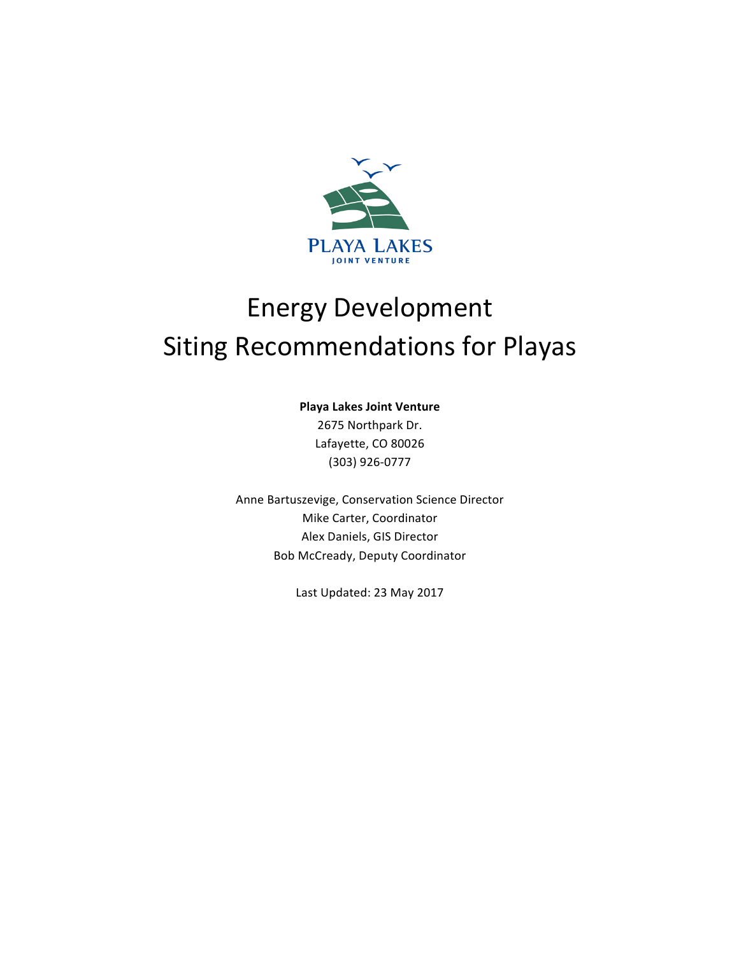

# Energy Development Siting Recommendations for Playas

### **Playa Lakes Joint Venture**

2675 Northpark Dr. Lafayette, CO 80026 (303) 926-0777

Anne Bartuszevige, Conservation Science Director Mike Carter, Coordinator Alex Daniels, GIS Director Bob McCready, Deputy Coordinator 

Last Updated: 23 May 2017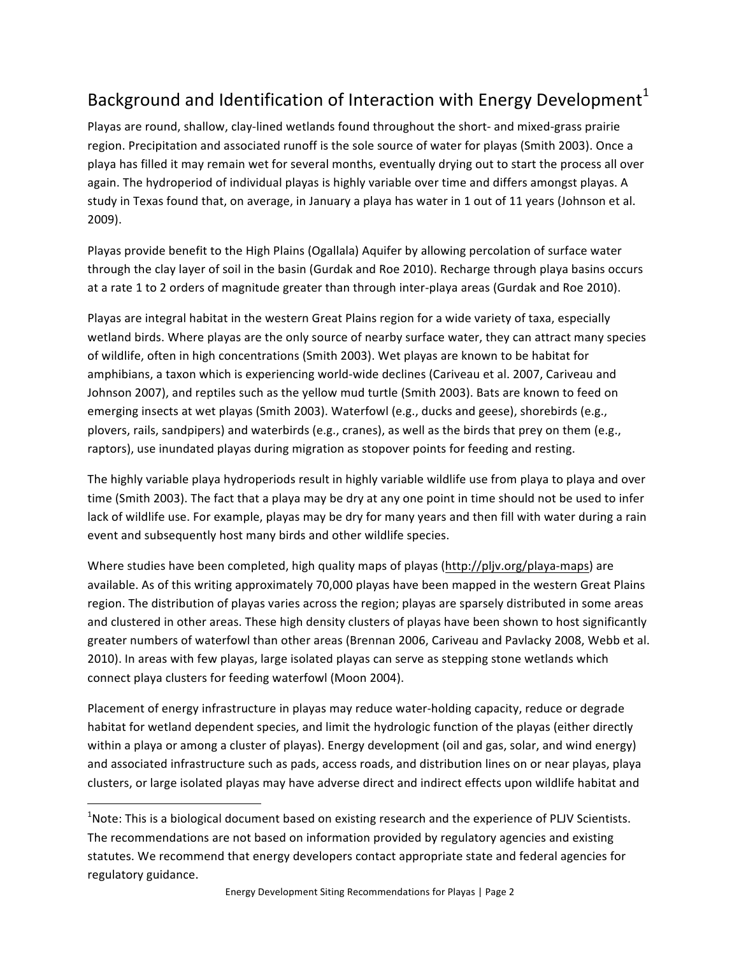# Background and Identification of Interaction with Energy Development<sup>1</sup>

Playas are round, shallow, clay-lined wetlands found throughout the short- and mixed-grass prairie region. Precipitation and associated runoff is the sole source of water for playas (Smith 2003). Once a playa has filled it may remain wet for several months, eventually drying out to start the process all over again. The hydroperiod of individual playas is highly variable over time and differs amongst playas. A study in Texas found that, on average, in January a playa has water in 1 out of 11 years (Johnson et al. 2009).

Playas provide benefit to the High Plains (Ogallala) Aquifer by allowing percolation of surface water through the clay layer of soil in the basin (Gurdak and Roe 2010). Recharge through playa basins occurs at a rate 1 to 2 orders of magnitude greater than through inter-playa areas (Gurdak and Roe 2010).

Playas are integral habitat in the western Great Plains region for a wide variety of taxa, especially wetland birds. Where playas are the only source of nearby surface water, they can attract many species of wildlife, often in high concentrations (Smith 2003). Wet playas are known to be habitat for amphibians, a taxon which is experiencing world-wide declines (Cariveau et al. 2007, Cariveau and Johnson 2007), and reptiles such as the yellow mud turtle (Smith 2003). Bats are known to feed on emerging insects at wet playas (Smith 2003). Waterfowl (e.g., ducks and geese), shorebirds (e.g., plovers, rails, sandpipers) and waterbirds (e.g., cranes), as well as the birds that prey on them (e.g., raptors), use inundated playas during migration as stopover points for feeding and resting.

The highly variable playa hydroperiods result in highly variable wildlife use from playa to playa and over time (Smith 2003). The fact that a playa may be dry at any one point in time should not be used to infer lack of wildlife use. For example, playas may be dry for many years and then fill with water during a rain event and subsequently host many birds and other wildlife species.

Where studies have been completed, high quality maps of playas (http://pljv.org/playa-maps) are available. As of this writing approximately 70,000 playas have been mapped in the western Great Plains region. The distribution of playas varies across the region; playas are sparsely distributed in some areas and clustered in other areas. These high density clusters of playas have been shown to host significantly greater numbers of waterfowl than other areas (Brennan 2006, Cariveau and Pavlacky 2008, Webb et al. 2010). In areas with few playas, large isolated playas can serve as stepping stone wetlands which connect playa clusters for feeding waterfowl (Moon 2004).

Placement of energy infrastructure in playas may reduce water-holding capacity, reduce or degrade habitat for wetland dependent species, and limit the hydrologic function of the playas (either directly within a playa or among a cluster of playas). Energy development (oil and gas, solar, and wind energy) and associated infrastructure such as pads, access roads, and distribution lines on or near playas, playa clusters, or large isolated playas may have adverse direct and indirect effects upon wildlife habitat and

<u> Andrew Maria (1989)</u>

 $^1$ Note: This is a biological document based on existing research and the experience of PLJV Scientists. The recommendations are not based on information provided by regulatory agencies and existing statutes. We recommend that energy developers contact appropriate state and federal agencies for regulatory guidance.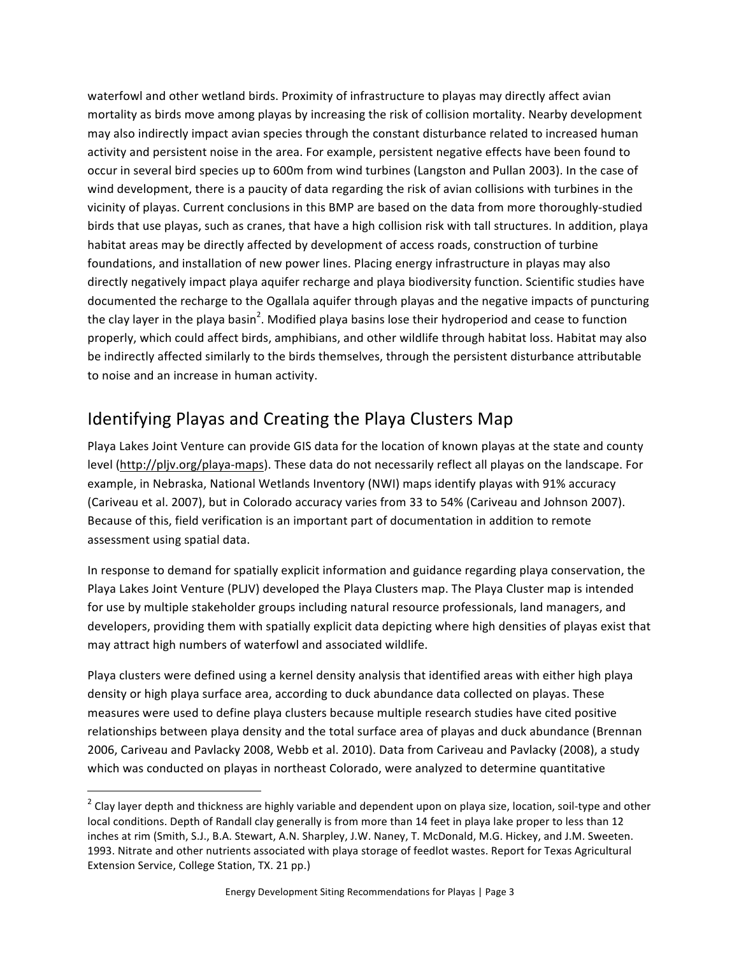waterfowl and other wetland birds. Proximity of infrastructure to playas may directly affect avian mortality as birds move among playas by increasing the risk of collision mortality. Nearby development may also indirectly impact avian species through the constant disturbance related to increased human activity and persistent noise in the area. For example, persistent negative effects have been found to occur in several bird species up to 600m from wind turbines (Langston and Pullan 2003). In the case of wind development, there is a paucity of data regarding the risk of avian collisions with turbines in the vicinity of playas. Current conclusions in this BMP are based on the data from more thoroughly-studied birds that use playas, such as cranes, that have a high collision risk with tall structures. In addition, playa habitat areas may be directly affected by development of access roads, construction of turbine foundations, and installation of new power lines. Placing energy infrastructure in playas may also directly negatively impact playa aquifer recharge and playa biodiversity function. Scientific studies have documented the recharge to the Ogallala aquifer through playas and the negative impacts of puncturing the clay layer in the playa basin<sup>2</sup>. Modified playa basins lose their hydroperiod and cease to function properly, which could affect birds, amphibians, and other wildlife through habitat loss. Habitat may also be indirectly affected similarly to the birds themselves, through the persistent disturbance attributable to noise and an increase in human activity.

## Identifying Playas and Creating the Playa Clusters Map

<u> Andrew Maria (1989)</u>

Playa Lakes Joint Venture can provide GIS data for the location of known playas at the state and county level (http://pljv.org/playa-maps). These data do not necessarily reflect all playas on the landscape. For example, in Nebraska, National Wetlands Inventory (NWI) maps identify playas with 91% accuracy (Cariveau et al. 2007), but in Colorado accuracy varies from 33 to 54% (Cariveau and Johnson 2007). Because of this, field verification is an important part of documentation in addition to remote assessment using spatial data.

In response to demand for spatially explicit information and guidance regarding playa conservation, the Playa Lakes Joint Venture (PLJV) developed the Playa Clusters map. The Playa Cluster map is intended for use by multiple stakeholder groups including natural resource professionals, land managers, and developers, providing them with spatially explicit data depicting where high densities of playas exist that may attract high numbers of waterfowl and associated wildlife.

Playa clusters were defined using a kernel density analysis that identified areas with either high playa density or high playa surface area, according to duck abundance data collected on playas. These measures were used to define playa clusters because multiple research studies have cited positive relationships between playa density and the total surface area of playas and duck abundance (Brennan 2006, Cariveau and Pavlacky 2008, Webb et al. 2010). Data from Cariveau and Pavlacky (2008), a study which was conducted on playas in northeast Colorado, were analyzed to determine quantitative

 $2$  Clay layer depth and thickness are highly variable and dependent upon on playa size, location, soil-type and other local conditions. Depth of Randall clay generally is from more than 14 feet in playa lake proper to less than 12 inches at rim (Smith, S.J., B.A. Stewart, A.N. Sharpley, J.W. Naney, T. McDonald, M.G. Hickey, and J.M. Sweeten. 1993. Nitrate and other nutrients associated with playa storage of feedlot wastes. Report for Texas Agricultural Extension Service, College Station, TX. 21 pp.)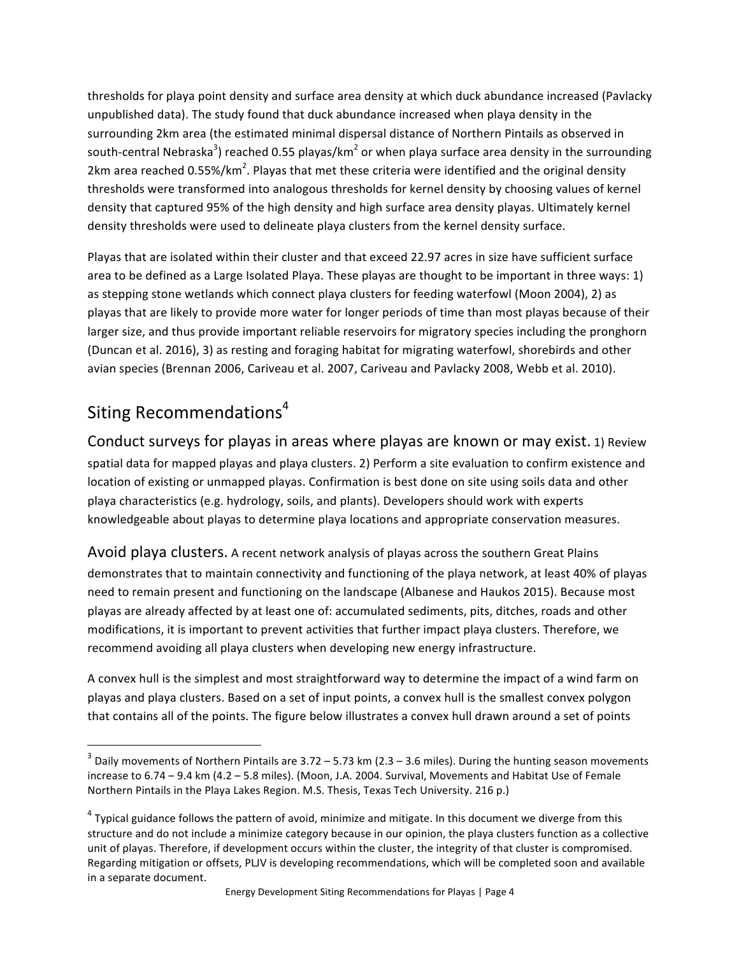thresholds for playa point density and surface area density at which duck abundance increased (Pavlacky unpublished data). The study found that duck abundance increased when playa density in the surrounding 2km area (the estimated minimal dispersal distance of Northern Pintails as observed in south-central Nebraska<sup>3</sup>) reached 0.55 playas/km<sup>2</sup> or when playa surface area density in the surrounding 2km area reached 0.55%/km<sup>2</sup>. Playas that met these criteria were identified and the original density thresholds were transformed into analogous thresholds for kernel density by choosing values of kernel density that captured 95% of the high density and high surface area density playas. Ultimately kernel density thresholds were used to delineate playa clusters from the kernel density surface.

Playas that are isolated within their cluster and that exceed 22.97 acres in size have sufficient surface area to be defined as a Large Isolated Playa. These playas are thought to be important in three ways: 1) as stepping stone wetlands which connect playa clusters for feeding waterfowl (Moon 2004), 2) as playas that are likely to provide more water for longer periods of time than most playas because of their larger size, and thus provide important reliable reservoirs for migratory species including the pronghorn (Duncan et al. 2016), 3) as resting and foraging habitat for migrating waterfowl, shorebirds and other avian species (Brennan 2006, Cariveau et al. 2007, Cariveau and Pavlacky 2008, Webb et al. 2010).

## Siting Recommendations<sup>4</sup>

<u> Andrew Maria (1989)</u>

Conduct surveys for playas in areas where playas are known or may exist. 1) Review spatial data for mapped playas and playa clusters. 2) Perform a site evaluation to confirm existence and location of existing or unmapped playas. Confirmation is best done on site using soils data and other playa characteristics (e.g. hydrology, soils, and plants). Developers should work with experts knowledgeable about playas to determine playa locations and appropriate conservation measures.

Avoid playa clusters. A recent network analysis of playas across the southern Great Plains demonstrates that to maintain connectivity and functioning of the playa network, at least 40% of playas need to remain present and functioning on the landscape (Albanese and Haukos 2015). Because most playas are already affected by at least one of: accumulated sediments, pits, ditches, roads and other modifications, it is important to prevent activities that further impact playa clusters. Therefore, we recommend avoiding all playa clusters when developing new energy infrastructure.

A convex hull is the simplest and most straightforward way to determine the impact of a wind farm on playas and playa clusters. Based on a set of input points, a convex hull is the smallest convex polygon that contains all of the points. The figure below illustrates a convex hull drawn around a set of points

 $3$  Daily movements of Northern Pintails are 3.72 – 5.73 km (2.3 – 3.6 miles). During the hunting season movements increase to 6.74 - 9.4 km (4.2 - 5.8 miles). (Moon, J.A. 2004. Survival, Movements and Habitat Use of Female Northern Pintails in the Playa Lakes Region. M.S. Thesis, Texas Tech University. 216 p.)

 $4$  Typical guidance follows the pattern of avoid, minimize and mitigate. In this document we diverge from this structure and do not include a minimize category because in our opinion, the playa clusters function as a collective unit of playas. Therefore, if development occurs within the cluster, the integrity of that cluster is compromised. Regarding mitigation or offsets, PLJV is developing recommendations, which will be completed soon and available in a separate document.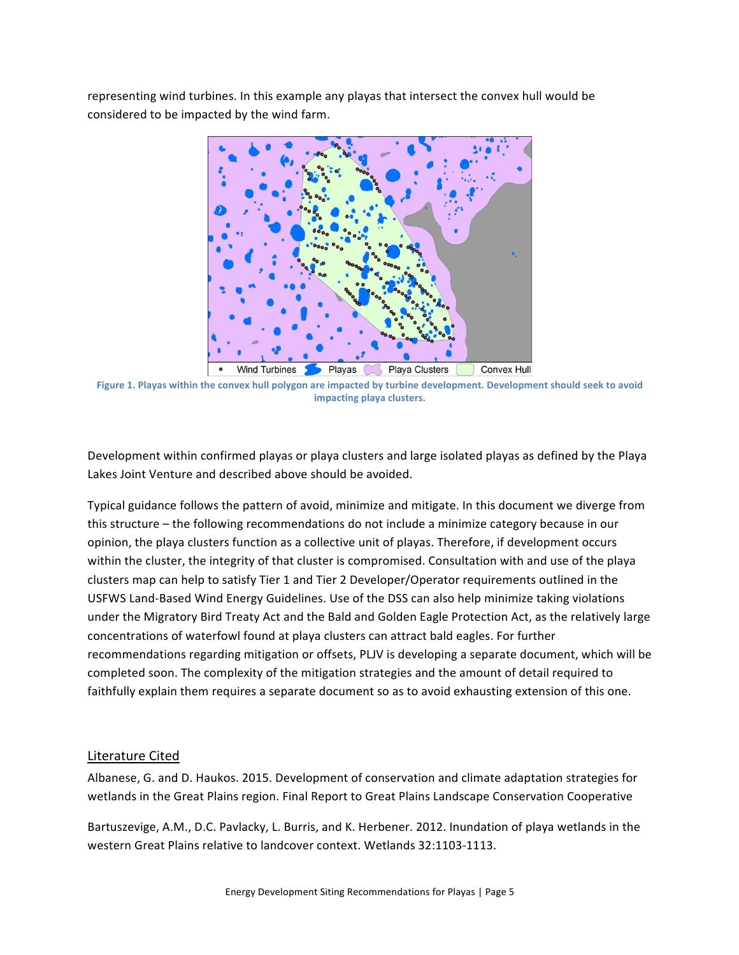representing wind turbines. In this example any playas that intersect the convex hull would be considered to be impacted by the wind farm.



Figure 1. Playas within the convex hull polygon are impacted by turbine development. Development should seek to avoid **impacting playa clusters.**

Development within confirmed playas or playa clusters and large isolated playas as defined by the Playa Lakes Joint Venture and described above should be avoided.

Typical guidance follows the pattern of avoid, minimize and mitigate. In this document we diverge from this structure – the following recommendations do not include a minimize category because in our opinion, the playa clusters function as a collective unit of playas. Therefore, if development occurs within the cluster, the integrity of that cluster is compromised. Consultation with and use of the playa clusters map can help to satisfy Tier 1 and Tier 2 Developer/Operator requirements outlined in the USFWS Land-Based Wind Energy Guidelines. Use of the DSS can also help minimize taking violations under the Migratory Bird Treaty Act and the Bald and Golden Eagle Protection Act, as the relatively large concentrations of waterfowl found at playa clusters can attract bald eagles. For further recommendations regarding mitigation or offsets, PLJV is developing a separate document, which will be completed soon. The complexity of the mitigation strategies and the amount of detail required to faithfully explain them requires a separate document so as to avoid exhausting extension of this one.

### Literature Cited

Albanese, G. and D. Haukos. 2015. Development of conservation and climate adaptation strategies for wetlands in the Great Plains region. Final Report to Great Plains Landscape Conservation Cooperative

Bartuszevige, A.M., D.C. Pavlacky, L. Burris, and K. Herbener. 2012. Inundation of playa wetlands in the western Great Plains relative to landcover context. Wetlands 32:1103-1113.